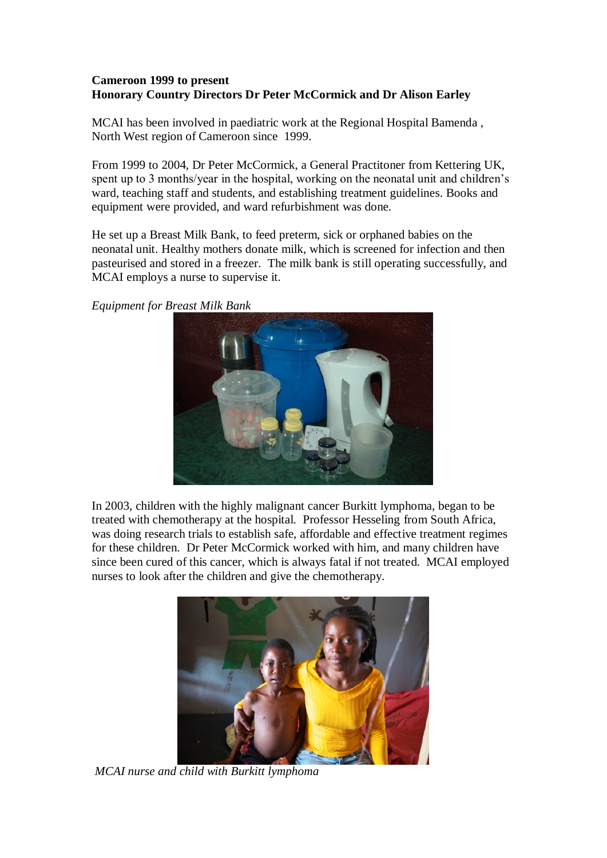## **Cameroon 1999 to present Honorary Country Directors Dr Peter McCormick and Dr Alison Earley**

MCAI has been involved in paediatric work at the Regional Hospital Bamenda , North West region of Cameroon since 1999.

From 1999 to 2004, Dr Peter McCormick, a General Practitoner from Kettering UK, spent up to 3 months/year in the hospital, working on the neonatal unit and children's ward, teaching staff and students, and establishing treatment guidelines. Books and equipment were provided, and ward refurbishment was done.

He set up a Breast Milk Bank, to feed preterm, sick or orphaned babies on the neonatal unit. Healthy mothers donate milk, which is screened for infection and then pasteurised and stored in a freezer. The milk bank is still operating successfully, and MCAI employs a nurse to supervise it.

*Equipment for Breast Milk Bank*



In 2003, children with the highly malignant cancer Burkitt lymphoma, began to be treated with chemotherapy at the hospital. Professor Hesseling from South Africa, was doing research trials to establish safe, affordable and effective treatment regimes for these children. Dr Peter McCormick worked with him, and many children have since been cured of this cancer, which is always fatal if not treated. MCAI employed nurses to look after the children and give the chemotherapy.



*MCAI nurse and child with Burkitt lymphoma*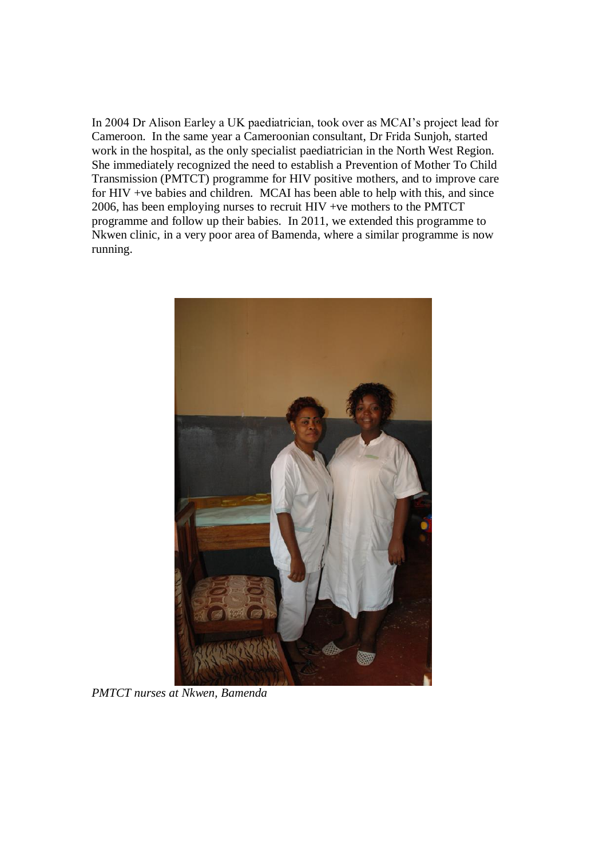In 2004 Dr Alison Earley a UK paediatrician, took over as MCAI's project lead for Cameroon. In the same year a Cameroonian consultant, Dr Frida Sunjoh, started work in the hospital, as the only specialist paediatrician in the North West Region. She immediately recognized the need to establish a Prevention of Mother To Child Transmission (PMTCT) programme for HIV positive mothers, and to improve care for HIV +ve babies and children. MCAI has been able to help with this, and since 2006, has been employing nurses to recruit HIV +ve mothers to the PMTCT programme and follow up their babies. In 2011, we extended this programme to Nkwen clinic, in a very poor area of Bamenda, where a similar programme is now running.



*PMTCT nurses at Nkwen, Bamenda*